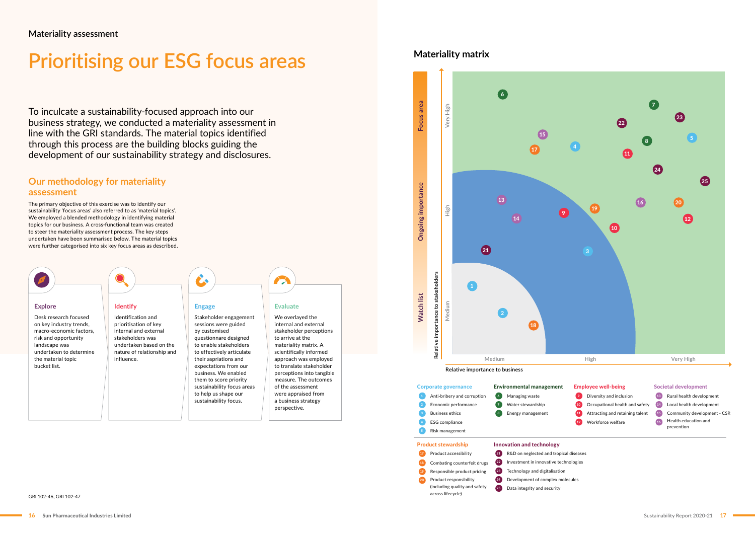# **Prioritising our ESG focus areas**

To inculcate a sustainability-focused approach into our business strategy, we conducted a materiality assessment in line with the GRI standards. The material topics identified through this process are the building blocks guiding the development of our sustainability strategy and disclosures.

## **Our methodology for materiality assessment**

The primary objective of this exercise was to identify our sustainability 'focus areas' also referred to as 'material topics'. We employed a blended methodology in identifying material topics for our business. A cross-functional team was created to steer the materiality assessment process. The key steps undertaken have been summarised below. The material topics were further categorised into six key focus areas as described.

- 
- 
- $\overline{11}$  Attracting and retaining talent  $\overline{15}$  Community development CSR 16 Health education and prevention

**Materiality matrix**

Data integrity and security







- 
- **A** Managing waste **Anti-brita-brightness** Diversity and inclusion Rural health development **9** Diversity and inclusion
- 7 Mater stewardship **COM** Occupational health and safety (14) Local health development Attracting and retaining talent
	- 12 Workforce welfare

### Employee well-being Societal development

(including quality and safety

across lifecycle)

25

GRI 102-46, GRI 102-47